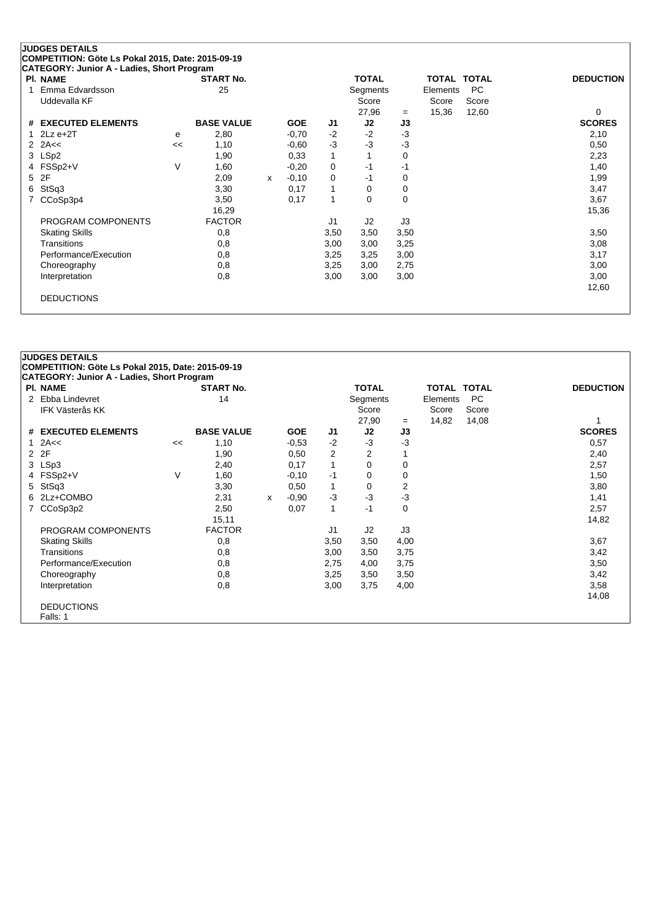| <b>PI. NAME</b>       |        | <b>START No.</b>  |   |            |              | <b>TOTAL</b> |          | TOTAL    | <b>TOTAL</b> | <b>DEDUCTION</b> |
|-----------------------|--------|-------------------|---|------------|--------------|--------------|----------|----------|--------------|------------------|
| Emma Edvardsson       |        | 25                |   |            |              | Segments     |          | Elements | PC           |                  |
| Uddevalla KF          |        |                   |   |            |              | Score        |          | Score    | Score        |                  |
|                       |        |                   |   |            |              | 27,96        | $=$      | 15,36    | 12,60        | 0                |
| # EXECUTED ELEMENTS   |        | <b>BASE VALUE</b> |   | <b>GOE</b> | J1           | J2           | J3       |          |              | <b>SCORES</b>    |
| 1 $2Lz e+2T$          | e      | 2,80              |   | $-0,70$    | $-2$         | $-2$         | $-3$     |          |              | 2,10             |
| 2 $2A<<$              | <<     | 1,10              |   | $-0.60$    | $-3$         | $-3$         | $-3$     |          |              | 0,50             |
| 3 LSp2                |        | 1,90              |   | 0,33       | $\mathbf{1}$ |              | 0        |          |              | 2,23             |
| 4 FSSp2+V             | $\vee$ | 1,60              |   | $-0,20$    | 0            | $-1$         | $-1$     |          |              | 1,40             |
| 2F<br>5.              |        | 2,09              | x | $-0,10$    | 0            | $-1$         | 0        |          |              | 1,99             |
| StSq3<br>6            |        | 3,30              |   | 0,17       | 1            | 0            | 0        |          |              | 3,47             |
| CCoSp3p4              |        | 3,50              |   | 0,17       | 1            | 0            | $\Omega$ |          |              | 3,67             |
|                       |        | 16,29             |   |            |              |              |          |          |              | 15,36            |
| PROGRAM COMPONENTS    |        | <b>FACTOR</b>     |   |            | J1           | J2           | J3       |          |              |                  |
| <b>Skating Skills</b> |        | 0,8               |   |            | 3,50         | 3,50         | 3,50     |          |              | 3,50             |
| <b>Transitions</b>    |        | 0,8               |   |            | 3,00         | 3,00         | 3,25     |          |              | 3,08             |
| Performance/Execution |        | 0,8               |   |            | 3,25         | 3,25         | 3,00     |          |              | 3,17             |
| Choreography          |        | 0,8               |   |            | 3,25         | 3,00         | 2,75     |          |              | 3,00             |
| Interpretation        |        | 0,8               |   |            | 3,00         | 3,00         | 3,00     |          |              | 3,00             |
|                       |        |                   |   |            |              |              |          |          |              | 12,60            |

### **JUDGES DETAILS COMPETITION: Göte Ls Pokal 2015, Date: 2015-09-19 CATEGORY: Junior A - Ladies, Short Program Pl. NAME START No. TOTAL TOTAL TOTAL DEDUCTION** 2 Ebba Lindevret 14 14 Segments Elements PC<br>IFK Västerås KK Score Score Score Score Score IFK Västerås KK Score Score Score Score Score Score Score Score Score Score Score Score Score Score Score Score 27,90 <sup>=</sup> 14,82 14,08 1 **# EXECUTED ELEMENTS BASE VALUE GOE J1 J2 J3 SCORES** 1 2A<< << 1,10 -0,53 -2 -3 -3 0,57 2 2F 1,90 0,50 2 2 1 2,40 3 LSp3 2,40 0,17 1 0 0 4 FSSp2+V V 1,60 -0,10 -1 0 0 1,50 5 StSq3 3,30 0,50 1 0 2 3,80 6 2Lz+COMBO 2,31 <sup>x</sup> -0,90 -3 -3 -3 1,41 7 CCoSp3p2 2,50 0,07 1 -1 15,11 14,82 PROGRAM COMPONENTS FACTOR J1 J2 J3 Skating Skills 0,8 3,50 3,50 4,00 3,67 Transitions 0,8 3,00 3,50 3,75 3,42 Performance/Execution 0,8 0,8 2,75 4,00 3,75 3,50 Choreography 0,8 3,25 3,50 3,50 3,42 Interpretation 0,8 3,00 3,75 4,00 3,58 14,08 DEDUCTIONS Falls: 1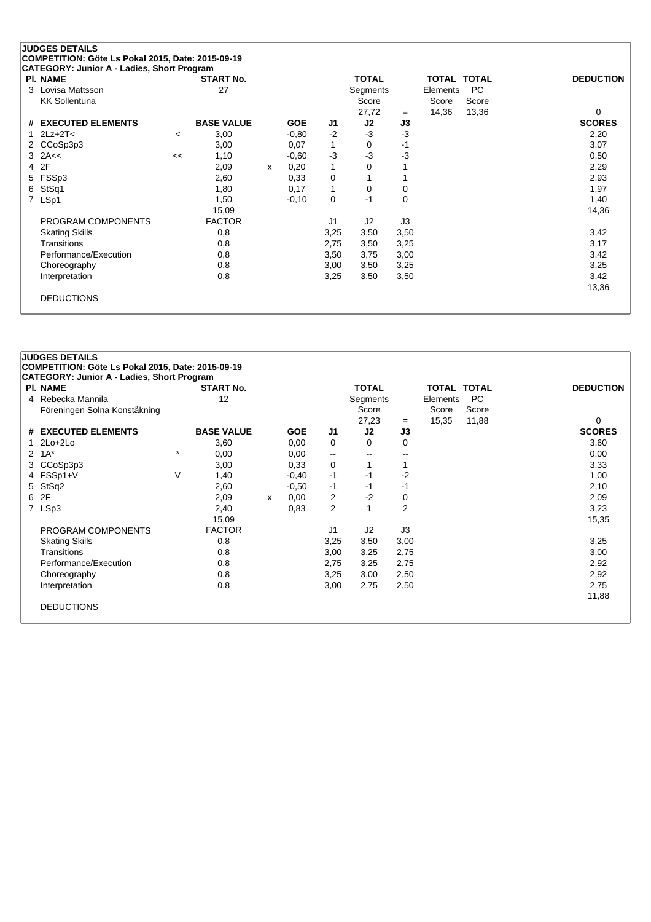| PI. NAME                      |         | <b>START No.</b>  |   |            |          | <b>TOTAL</b> |                | <b>TOTAL TOTAL</b> |       | <b>DEDUCTION</b> |
|-------------------------------|---------|-------------------|---|------------|----------|--------------|----------------|--------------------|-------|------------------|
| Lovisa Mattsson<br>3          |         | 27                |   |            |          | Segments     |                | Elements           | PC    |                  |
| <b>KK Sollentuna</b>          |         |                   |   |            |          | Score        |                | Score              | Score |                  |
|                               |         |                   |   |            |          | 27,72        | $=$            | 14,36              | 13,36 | $\Omega$         |
| <b>EXECUTED ELEMENTS</b><br># |         | <b>BASE VALUE</b> |   | <b>GOE</b> | J1       | J2           | J3             |                    |       | <b>SCORES</b>    |
| $2Lz+2T<$                     | $\prec$ | 3,00              |   | $-0.80$    | $-2$     | $-3$         | $-3$           |                    |       | 2,20             |
| CCoSp3p3<br>2                 |         | 3,00              |   | 0,07       |          | 0            | $-1$           |                    |       | 3,07             |
| 2A<<<br>3                     | <<      | 1,10              |   | $-0,60$    | $-3$     | $-3$         | $-3$           |                    |       | 0,50             |
| 2F<br>4                       |         | 2,09              | x | 0,20       |          | $\Omega$     |                |                    |       | 2,29             |
| FSSp3<br>5                    |         | 2,60              |   | 0,33       | 0        |              |                |                    |       | 2,93             |
| StSq1<br>6                    |         | 1,80              |   | 0,17       |          | $\Omega$     | 0              |                    |       | 1,97             |
| LSp1<br>7                     |         | 1,50              |   | $-0,10$    | $\Omega$ | $-1$         | $\Omega$       |                    |       | 1,40             |
|                               |         | 15,09             |   |            |          |              |                |                    |       | 14,36            |
| PROGRAM COMPONENTS            |         | <b>FACTOR</b>     |   |            | J1       | J2           | J <sub>3</sub> |                    |       |                  |
| <b>Skating Skills</b>         |         | 0,8               |   |            | 3,25     | 3,50         | 3,50           |                    |       | 3,42             |
| Transitions                   |         | 0,8               |   |            | 2,75     | 3,50         | 3,25           |                    |       | 3,17             |
| Performance/Execution         |         | 0,8               |   |            | 3,50     | 3,75         | 3,00           |                    |       | 3,42             |
| Choreography                  |         | 0,8               |   |            | 3,00     | 3,50         | 3,25           |                    |       | 3,25             |
| Interpretation                |         | 0,8               |   |            | 3,25     | 3,50         | 3,50           |                    |       | 3,42             |
|                               |         |                   |   |            |          |              |                |                    |       | 13,36            |

| <b>PI. NAME</b>                |         | <b>START No.</b>  |   |            |                          | <b>TOTAL</b>   |                | <b>TOTAL</b> | <b>TOTAL</b> | <b>DEDUCTION</b> |
|--------------------------------|---------|-------------------|---|------------|--------------------------|----------------|----------------|--------------|--------------|------------------|
| Rebecka Mannila<br>4           |         | 12                |   |            |                          | Segments       |                | Elements     | <b>PC</b>    |                  |
| Föreningen Solna Konståkning   |         |                   |   |            |                          | Score          |                | Score        | Score        |                  |
|                                |         |                   |   |            |                          | 27,23          | $=$            | 15,35        | 11,88        | 0                |
| # EXECUTED ELEMENTS            |         | <b>BASE VALUE</b> |   | <b>GOE</b> | J1                       | J2             | J3             |              |              | <b>SCORES</b>    |
| $2Lo+2Lo$                      |         | 3,60              |   | 0,00       | 0                        | 0              | 0              |              |              | 3,60             |
| $1A^*$<br>$\mathbf{2}^{\circ}$ | $\star$ | 0,00              |   | 0,00       | $\overline{\phantom{a}}$ | $-$            | $- -$          |              |              | 0,00             |
| CCoSp3p3<br>3                  |         | 3,00              |   | 0,33       | 0                        |                |                |              |              | 3,33             |
| FSSp1+V<br>4                   | V       | 1,40              |   | $-0,40$    | $-1$                     | $-1$           | $-2$           |              |              | 1,00             |
| StSq2<br>5                     |         | 2,60              |   | $-0.50$    | $-1$                     | $-1$           | -1             |              |              | 2,10             |
| 2F<br>6                        |         | 2,09              | x | 0,00       | 2                        | $-2$           | 0              |              |              | 2,09             |
| LSp3<br>7                      |         | 2,40              |   | 0,83       | $\overline{2}$           |                | $\overline{2}$ |              |              | 3,23             |
|                                |         | 15,09             |   |            |                          |                |                |              |              | 15,35            |
| PROGRAM COMPONENTS             |         | <b>FACTOR</b>     |   |            | J1                       | J <sub>2</sub> | J3             |              |              |                  |
| <b>Skating Skills</b>          |         | 0,8               |   |            | 3,25                     | 3,50           | 3,00           |              |              | 3,25             |
| Transitions                    |         | 0,8               |   |            | 3,00                     | 3,25           | 2,75           |              |              | 3,00             |
| Performance/Execution          |         | 0,8               |   |            | 2,75                     | 3,25           | 2,75           |              |              | 2,92             |
| Choreography                   |         | 0,8               |   |            | 3,25                     | 3,00           | 2,50           |              |              | 2,92             |
| Interpretation                 |         | 0,8               |   |            | 3,00                     | 2,75           | 2,50           |              |              | 2,75             |
|                                |         |                   |   |            |                          |                |                |              |              | 11,88            |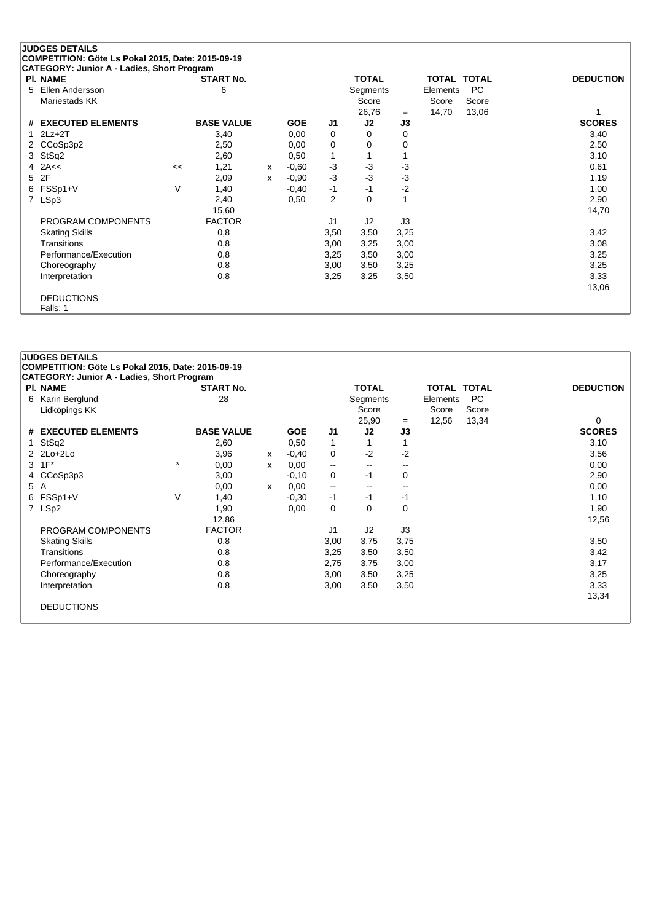| <b>PI. NAME</b>          |    | <b>START No.</b>  |   |            |                | <b>TOTAL</b> |      |          | TOTAL TOTAL | <b>DEDUCTION</b> |
|--------------------------|----|-------------------|---|------------|----------------|--------------|------|----------|-------------|------------------|
| Ellen Andersson<br>5     |    | 6                 |   |            |                | Segments     |      | Elements | <b>PC</b>   |                  |
| Mariestads KK            |    |                   |   |            |                | Score        |      | Score    | Score       |                  |
|                          |    |                   |   |            |                | 26,76        | $=$  | 14,70    | 13,06       |                  |
| # EXECUTED ELEMENTS      |    | <b>BASE VALUE</b> |   | <b>GOE</b> | J1             | J2           | J3   |          |             | <b>SCORES</b>    |
| $2Lz+2T$<br>$\mathbf{1}$ |    | 3,40              |   | 0,00       | 0              | 0            | 0    |          |             | 3,40             |
| 2 CCoSp3p2               |    | 2,50              |   | 0,00       | 0              | 0            | 0    |          |             | 2,50             |
| 3 StSq2                  |    | 2,60              |   | 0,50       |                |              |      |          |             | 3,10             |
| $4$ 2A $<$               | << | 1,21              | X | $-0.60$    | $-3$           | $-3$         | $-3$ |          |             | 0,61             |
| 2F<br>5                  |    | 2,09              | x | $-0.90$    | $-3$           | $-3$         | $-3$ |          |             | 1,19             |
| FSSp1+V<br>6             | V  | 1,40              |   | $-0,40$    | $-1$           | $-1$         | $-2$ |          |             | 1,00             |
| 7 LSp3                   |    | 2,40              |   | 0,50       | $\overline{2}$ | 0            |      |          |             | 2,90             |
|                          |    | 15,60             |   |            |                |              |      |          |             | 14,70            |
| PROGRAM COMPONENTS       |    | <b>FACTOR</b>     |   |            | J1             | J2           | J3   |          |             |                  |
| <b>Skating Skills</b>    |    | 0,8               |   |            | 3,50           | 3,50         | 3,25 |          |             | 3,42             |
| Transitions              |    | 0,8               |   |            | 3,00           | 3,25         | 3,00 |          |             | 3,08             |
| Performance/Execution    |    | 0,8               |   |            | 3,25           | 3,50         | 3,00 |          |             | 3,25             |
| Choreography             |    | 0,8               |   |            | 3,00           | 3,50         | 3,25 |          |             | 3,25             |
| Interpretation           |    | 0,8               |   |            | 3,25           | 3,25         | 3,50 |          |             | 3,33             |
|                          |    |                   |   |            |                |              |      |          |             | 13,06            |

#### **JUDGES DETAILS COMPETITION: Göte Ls Pokal 2015, Date: 2015-09-19 CATEGORY: Junior A - Ladies, Short Program Pl. NAME START No. TOTAL TOTAL TOTAL DEDUCTION** 6 Karin Berglund 28 Segments Elements PC Lidköpings KK Score Score Score Score Score Score Score Score Score Score Score Score Score Score Score Score Score Score Score Score Score Score Score Score Score Score Score Score Score Score Score Score Score Score Scor 25,90 = 12,56 13,34 0<br> **J2 J3 SCORES # EXECUTED ELEMENTS BASE VALUE GOE J1 J2 J3 SCORES** 1 StSq2 2,60 0,50 1 1 3,10 2 2Lo+2Lo 3,96 <sup>x</sup> -0,40 0 -2 -2 3,56  $3 \t1F^*$   $*$  0,00 x 0,00 -- -- -- -- 0,00 4 CCoSp3p3 3,00 -0,10 0 -1 0 2,90 5 A 0,00 <sup>x</sup> 0,00 -- -- -- 0,00 6 FSSp1+V V 1,40 -0,30 -1 -1 -1 1,10 7 LSp2 1,90 0,00 0 0 0 1,90 12,86 12,56 PROGRAM COMPONENTS FACTOR FACTOR J1 J2 J3 Skating Skills 0,8 3,00 3,75 3,75 3,50 Transitions 0,8 3,25 3,50 3,50 3,42 Performance/Execution 0,8 0,8 2,75 3,75 3,00 3,17 Choreography 0,8 3,00 3,50 3,25 3,25 Interpretation 0,8 3,00 3,50 3,50 3,33 13,34

DEDUCTIONS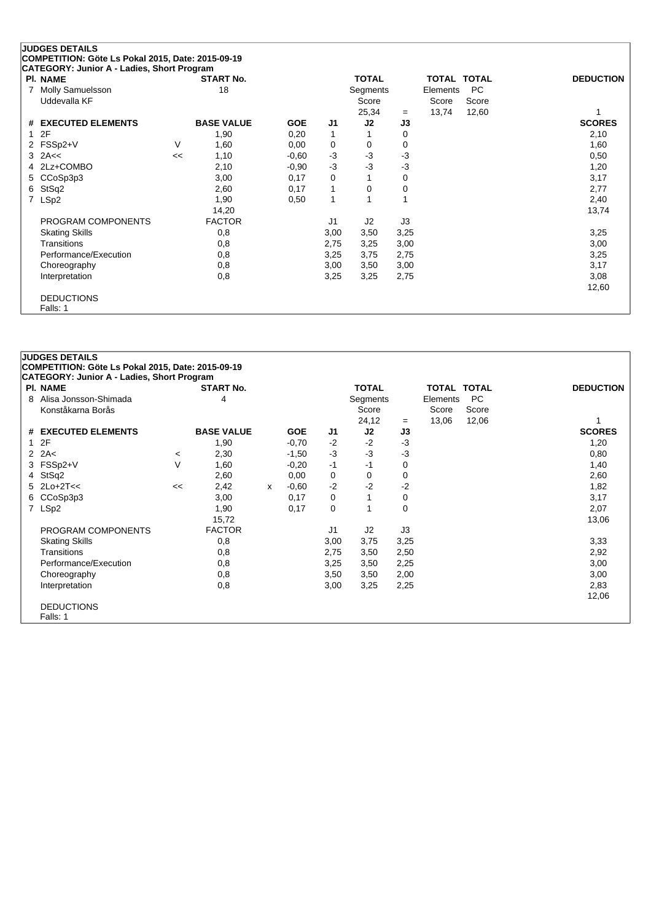|                | <b>JUDGES DETAILS</b>                                         |    |                   |            |              |              |      |          |                    |                  |
|----------------|---------------------------------------------------------------|----|-------------------|------------|--------------|--------------|------|----------|--------------------|------------------|
|                | COMPETITION: Göte Ls Pokal 2015, Date: 2015-09-19             |    |                   |            |              |              |      |          |                    |                  |
|                | CATEGORY: Junior A - Ladies, Short Program<br><b>PI. NAME</b> |    | <b>START No.</b>  |            |              | <b>TOTAL</b> |      |          | <b>TOTAL TOTAL</b> | <b>DEDUCTION</b> |
| 7              | Molly Samuelsson                                              |    | 18                |            |              | Segments     |      | Elements | <b>PC</b>          |                  |
|                | Uddevalla KF                                                  |    |                   |            |              | Score        |      | Score    | Score              |                  |
|                |                                                               |    |                   |            |              | 25,34        | $=$  | 13,74    | 12,60              |                  |
|                | # EXECUTED ELEMENTS                                           |    | <b>BASE VALUE</b> | <b>GOE</b> | J1           | J2           | J3   |          |                    | <b>SCORES</b>    |
| 1              | 2F                                                            |    | 1,90              | 0,20       | 1            |              | 0    |          |                    | 2,10             |
|                | 2 FSSp2+V                                                     | V  | 1,60              | 0,00       | 0            | 0            | 0    |          |                    | 1,60             |
|                | $3$ 2A $\leq$                                                 | << | 1,10              | $-0,60$    | $-3$         | $-3$         | $-3$ |          |                    | 0,50             |
|                | 4 2Lz+COMBO                                                   |    | 2,10              | $-0,90$    | $-3$         | $-3$         | $-3$ |          |                    | 1,20             |
|                | 5 CCoSp3p3                                                    |    | 3,00              | 0,17       | 0            |              | 0    |          |                    | 3,17             |
| 6              | StSq2                                                         |    | 2,60              | 0,17       | 1            | 0            | 0    |          |                    | 2,77             |
| $\overline{7}$ | LSp2                                                          |    | 1,90              | 0,50       | $\mathbf{1}$ |              |      |          |                    | 2,40             |
|                |                                                               |    | 14,20             |            |              |              |      |          |                    | 13,74            |
|                | PROGRAM COMPONENTS                                            |    | <b>FACTOR</b>     |            | J1           | J2           | J3   |          |                    |                  |
|                | <b>Skating Skills</b>                                         |    | 0,8               |            | 3,00         | 3,50         | 3,25 |          |                    | 3,25             |
|                | Transitions                                                   |    | 0,8               |            | 2,75         | 3,25         | 3,00 |          |                    | 3,00             |
|                | Performance/Execution                                         |    | 0,8               |            | 3,25         | 3,75         | 2,75 |          |                    | 3,25             |
|                | Choreography                                                  |    | 0,8               |            | 3,00         | 3,50         | 3,00 |          |                    | 3,17             |
|                | Interpretation                                                |    | 0,8               |            | 3,25         | 3,25         | 2,75 |          |                    | 3,08             |
|                |                                                               |    |                   |            |              |              |      |          |                    | 12,60            |
|                | <b>DEDUCTIONS</b>                                             |    |                   |            |              |              |      |          |                    |                  |
|                | Falls: 1                                                      |    |                   |            |              |              |      |          |                    |                  |

### **JUDGES DETAILS COMPETITION: Göte Ls Pokal 2015, Date: 2015-09-19 CATEGORY: Junior A - Ladies, Short Program Pl. NAME START No. TOTAL TOTAL TOTAL DEDUCTION** 8 Alisa Jonsson-Shimada 4 Segments Elements PC Konståkarna Borås Score Score Score Score Score Score Score Score Score Score Score Score Score Score Score Score Score Score Score Score Score Score Score Score Score Score Score Score Score Score Score Score Score Score 24,12 <sup>=</sup> 13,06 12,06 1 **# EXECUTED ELEMENTS BASE VALUE GOE J1 J2 J3 SCORES** 1 2F 1,90 -0,70 -2 -2 -3 1,20 2 2A< <sup>&</sup>lt; 2,30 -1,50 -3 -3 -3 0,80 3 FSSp2+V V 1,60 -0,20 -1 -1 0 1,40 4 StSq2 2,60 0,00 0 0 0 2,60 5 2Lo+2T<< << 2,42 <sup>x</sup> -0,60 -2 -2 -2 1,82 6 CCoSp3p3 3,00 0,17 0 1 0 3,17 7 LSp2 1,90 0,17 0 1 0 2,07 15,72 13,06 PROGRAM COMPONENTS FACTOR 11 J2 J3 Skating Skills 0,8 3,00 3,75 3,25 3,33 Transitions 0,8 2,75 3,50 2,50 2,92 Performance/Execution 0,8 0,8 3,25 3,50 2,25 3,50 3,00 Choreography 0,8 3,50 3,50 2,00 3,00 Interpretation 0,8 3,00 3,25 2,25 2,83 12,06 DEDUCTIONS Falls: 1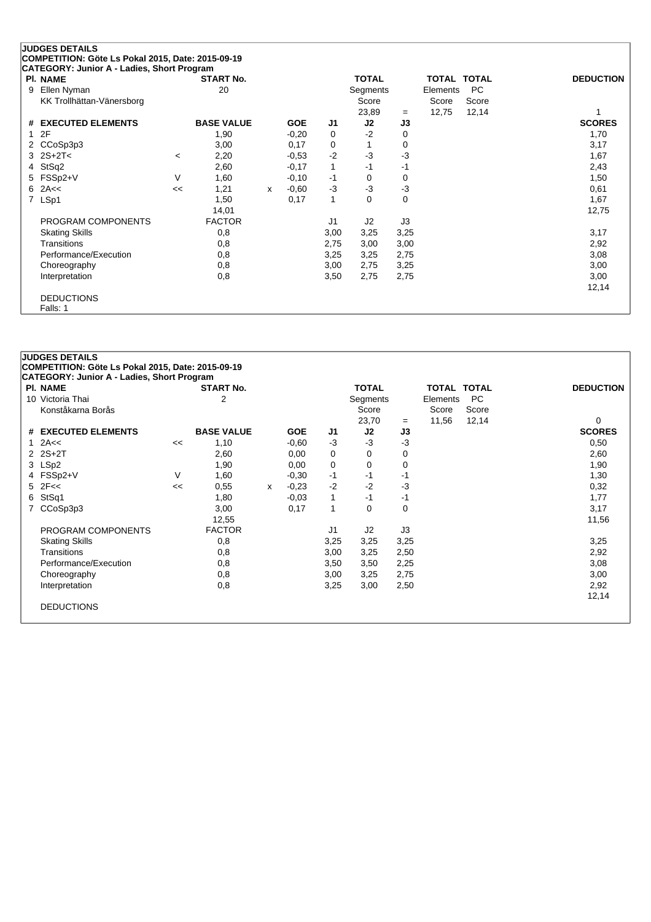|                | <b>JUDGES DETAILS</b>                             |         |                   |              |            |              |              |      |          |             |                  |
|----------------|---------------------------------------------------|---------|-------------------|--------------|------------|--------------|--------------|------|----------|-------------|------------------|
|                | COMPETITION: Göte Ls Pokal 2015, Date: 2015-09-19 |         |                   |              |            |              |              |      |          |             |                  |
|                | CATEGORY: Junior A - Ladies, Short Program        |         |                   |              |            |              |              |      |          |             |                  |
|                | <b>PI. NAME</b>                                   |         | <b>START No.</b>  |              |            |              | <b>TOTAL</b> |      |          | TOTAL TOTAL | <b>DEDUCTION</b> |
| 9              | Ellen Nyman                                       |         | 20                |              |            |              | Segments     |      | Elements | <b>PC</b>   |                  |
|                | KK Trollhättan-Vänersborg                         |         |                   |              |            |              | Score        |      | Score    | Score       |                  |
|                |                                                   |         |                   |              |            |              | 23,89        | $=$  | 12,75    | 12,14       |                  |
| #              | <b>EXECUTED ELEMENTS</b>                          |         | <b>BASE VALUE</b> |              | <b>GOE</b> | J1           | J2           | J3   |          |             | <b>SCORES</b>    |
| 1              | 2F                                                |         | 1,90              |              | $-0,20$    | 0            | $-2$         | 0    |          |             | 1,70             |
|                | 2 CCoSp3p3                                        |         | 3,00              |              | 0,17       | 0            | 1            | 0    |          |             | 3,17             |
|                | $3 \ 2S + 2T <$                                   | $\,<\,$ | 2,20              |              | $-0,53$    | $-2$         | $-3$         | $-3$ |          |             | 1,67             |
| 4              | StSq2                                             |         | 2,60              |              | $-0,17$    | $\mathbf{1}$ | $-1$         | $-1$ |          |             | 2,43             |
| 5              | FSSp2+V                                           | V       | 1,60              |              | $-0,10$    | -1           | 0            | 0    |          |             | 1,50             |
| 6              | 2A<<                                              | <<      | 1,21              | $\mathsf{x}$ | $-0.60$    | $-3$         | $-3$         | $-3$ |          |             | 0,61             |
| $\overline{7}$ | LSp1                                              |         | 1,50              |              | 0,17       | 1            | 0            | 0    |          |             | 1,67             |
|                |                                                   |         | 14,01             |              |            |              |              |      |          |             | 12,75            |
|                | PROGRAM COMPONENTS                                |         | <b>FACTOR</b>     |              |            | J1           | J2           | J3   |          |             |                  |
|                | <b>Skating Skills</b>                             |         | 0,8               |              |            | 3,00         | 3,25         | 3,25 |          |             | 3,17             |
|                | Transitions                                       |         | 0,8               |              |            | 2,75         | 3,00         | 3,00 |          |             | 2,92             |
|                | Performance/Execution                             |         | 0,8               |              |            | 3,25         | 3,25         | 2,75 |          |             | 3,08             |
|                | Choreography                                      |         | 0,8               |              |            | 3,00         | 2,75         | 3,25 |          |             | 3,00             |
|                | Interpretation                                    |         | 0,8               |              |            | 3,50         | 2,75         | 2,75 |          |             | 3,00             |
|                |                                                   |         |                   |              |            |              |              |      |          |             | 12,14            |
|                | <b>DEDUCTIONS</b>                                 |         |                   |              |            |              |              |      |          |             |                  |
|                | Falls: 1                                          |         |                   |              |            |              |              |      |          |             |                  |

# **JUDGES DETAILS COMPETITION: Göte Ls Pokal 2015, Date: 2015-09-19 CATEGORY: Junior A - Ladies, Short Program Pl. NAME START No. TOTAL TOTAL TOTAL DEDUCTION** 10 Victoria Thai 10 Victoria Thai 10 Victoria Thai 10 Victoria Thai 10 Victoria Thai 10 Victoria Chements PC<br>
Konståkarna Borås 10 Victoria 10 Victoria Elements PC Konståkarna Borås Score Score Score Score Score Score Score Score Score Score Score Score Score Score Score Score Score Score Score Score Score Score Score Score Score Score Score Score Score Score Score Score Score Score 23,70 <sup>=</sup> 11,56 12,14 0 **# EXECUTED ELEMENTS BASE VALUE GOE J1 J2 J3 SCORES** 1 2A<< << 1,10 -0,60 -3 -3 -3 0,50 2 2S+2T 2,60 0,00 0 0 0 2,60 3 LSp2 1,90 0,00 0 0 0 1,90 4 FSSp2+V V 1,60 -0,30 -1 -1 -1 1,30 5 2F<< << 0,55 <sup>x</sup> -0,23 -2 -2 -3 0,32 6 StSq1 1,80 -0,03 1 -1 -1 1,77 7 CCoSp3p3 3,00 0,17 1 0 0 12,55 11,56 PROGRAM COMPONENTS FACTOR FACTOR J1 J2 J3 Skating Skills 0,8 3,25 3,25 3,25 3,25 Transitions 0,8 3,00 3,25 2,50 2,92 Performance/Execution 0,8 0,8 3,50 3,50 2,25 3,08 Choreography 0,8 3,00 3,25 2,75 3,00 Interpretation 0,8 3,25 3,00 2,50 2,92 12,14 DEDUCTIONS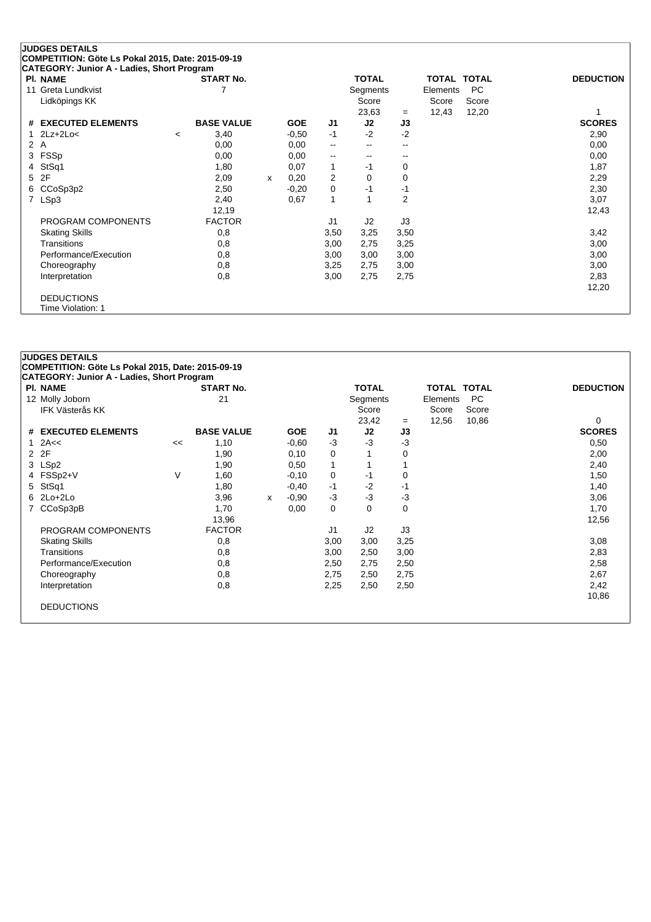|    | <b>JUDGES DETAILS</b>                             |                   |              |            |                |              |                |             |       |                  |
|----|---------------------------------------------------|-------------------|--------------|------------|----------------|--------------|----------------|-------------|-------|------------------|
|    | COMPETITION: Göte Ls Pokal 2015, Date: 2015-09-19 |                   |              |            |                |              |                |             |       |                  |
|    | CATEGORY: Junior A - Ladies, Short Program        |                   |              |            |                |              |                |             |       |                  |
|    | <b>PI. NAME</b>                                   | <b>START No.</b>  |              |            |                | <b>TOTAL</b> |                | TOTAL TOTAL |       | <b>DEDUCTION</b> |
| 11 | Greta Lundkvist                                   |                   |              |            |                | Segments     |                | Elements    | PC.   |                  |
|    | Lidköpings KK                                     |                   |              |            |                | Score        |                | Score       | Score |                  |
|    |                                                   |                   |              |            |                | 23,63        | $=$            | 12,43       | 12,20 |                  |
|    | # EXECUTED ELEMENTS                               | <b>BASE VALUE</b> |              | <b>GOE</b> | J1             | J2           | J3             |             |       | <b>SCORES</b>    |
|    | $2Lz+2Lo<$                                        | 3,40<br>$\prec$   |              | $-0.50$    | $-1$           | $-2$         | $-2$           |             |       | 2,90             |
|    | 2 A                                               | 0,00              |              | 0,00       | $\overline{a}$ | $-$          | $-$            |             |       | 0,00             |
|    | 3 FSSp                                            | 0,00              |              | 0,00       | $\mathbf{u}$   | $-$          | $-$            |             |       | 0,00             |
| 4  | StSq1                                             | 1,80              |              | 0,07       | 1              | $-1$         | 0              |             |       | 1,87             |
|    | 5 2F                                              | 2,09              | $\mathsf{x}$ | 0,20       | 2              | 0            | 0              |             |       | 2,29             |
|    | 6 CCoSp3p2                                        | 2,50              |              | $-0,20$    | 0              | $-1$         | $-1$           |             |       | 2,30             |
| 7  | LSp3                                              | 2,40              |              | 0,67       | 1              |              | $\overline{2}$ |             |       | 3,07             |
|    |                                                   | 12,19             |              |            |                |              |                |             |       | 12,43            |
|    | PROGRAM COMPONENTS                                | <b>FACTOR</b>     |              |            | J1             | J2           | J3             |             |       |                  |
|    | <b>Skating Skills</b>                             | 0,8               |              |            | 3,50           | 3,25         | 3,50           |             |       | 3,42             |
|    | Transitions                                       | 0,8               |              |            | 3,00           | 2,75         | 3,25           |             |       | 3,00             |
|    | Performance/Execution                             | 0,8               |              |            | 3,00           | 3,00         | 3,00           |             |       | 3,00             |
|    | Choreography                                      | 0,8               |              |            | 3,25           | 2,75         | 3,00           |             |       | 3,00             |
|    | Interpretation                                    | 0,8               |              |            | 3,00           | 2,75         | 2,75           |             |       | 2,83             |
|    |                                                   |                   |              |            |                |              |                |             |       | 12,20            |
|    | <b>DEDUCTIONS</b>                                 |                   |              |            |                |              |                |             |       |                  |
|    | Time Violation: 1                                 |                   |              |            |                |              |                |             |       |                  |

# **JUDGES DETAILS COMPETITION: Göte Ls Pokal 2015, Date: 2015-09-19 CATEGORY: Junior A - Ladies, Short Program Pl. NAME START No. TOTAL TOTAL TOTAL DEDUCTION** 12 Molly Joborn 21 21 Segments Elements PC<br>IFK Västerås KK Score Score Score Score Score Score IFK Västerås KK Score Score Score Score Score Score Score Score Score Score Score Score Score Score Score Score 23,42 = 12,56 10,86 0<br> **J2 J3 SCORES # EXECUTED ELEMENTS BASE VALUE GOE J1 J2 J3 SCORES** 1 2A<< << 1,10 -0,60 -3 -3 -3 0,50 2 2 F 2,00 3,00 3,00 0,10 0 1 0 2,00 3 LSp2 1,90 0,50 1 1 1 2,40 4 FSSp2+V V 1,60 -0,10 0 -1 0 1,50 5 StSq1 1,80 -0,40 -1 -2 -1 1,40 6 2Lo+2Lo 3,96 <sup>x</sup> -0,90 -3 -3 -3 3,06 7 CCoSp3pB 1,70 0,00 0 0 0 1,70 13,96 12,56 PROGRAM COMPONENTS FACTOR 11 J2 J3 Skating Skills 0,8 3,00 3,00 3,25 3,08 Transitions 0,8 3,00 2,50 3,00 2,83 Performance/Execution 0,8 0,8 2,50 2,75 2,50 2,75 2,50 Choreography 0,8 2,75 2,50 2,75 2,67 Interpretation 0,8 2,25 2,50 2,50 2,42 10,86 DEDUCTIONS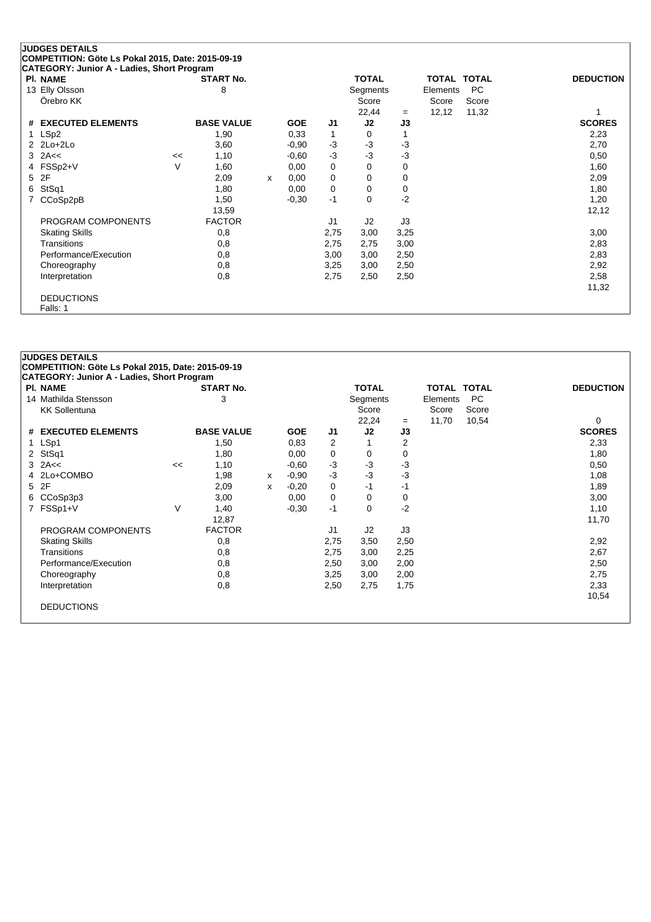| <b>PI. NAME</b>       |    | <b>START No.</b>  |   |            |      | <b>TOTAL</b> |      | TOTAL TOTAL |           | <b>DEDUCTION</b> |
|-----------------------|----|-------------------|---|------------|------|--------------|------|-------------|-----------|------------------|
| 13 Elly Olsson        |    | 8                 |   |            |      | Segments     |      | Elements    | <b>PC</b> |                  |
| Örebro KK             |    |                   |   |            |      | Score        |      | Score       | Score     |                  |
|                       |    |                   |   |            |      | 22,44        | $=$  | 12,12       | 11,32     |                  |
| # EXECUTED ELEMENTS   |    | <b>BASE VALUE</b> |   | <b>GOE</b> | J1   | J2           | J3   |             |           | <b>SCORES</b>    |
| 1 LSp2                |    | 1,90              |   | 0.33       | 1    | 0            |      |             |           | 2,23             |
| $2$ $2$ $Lo+2$ $Lo+2$ |    | 3,60              |   | $-0,90$    | $-3$ | $-3$         | $-3$ |             |           | 2,70             |
| $3$ 2A $\lt$          | << | 1,10              |   | $-0,60$    | $-3$ | $-3$         | $-3$ |             |           | 0,50             |
| FSSp2+V<br>4          | V  | 1,60              |   | 0,00       | 0    | 0            | 0    |             |           | 1,60             |
| 2F<br>5               |    | 2,09              | x | 0,00       | 0    | 0            | 0    |             |           | 2,09             |
| StSq1<br>6            |    | 1,80              |   | 0,00       | 0    | $\Omega$     | 0    |             |           | 1,80             |
| CCoSp2pB              |    | 1,50              |   | $-0.30$    | $-1$ | $\Omega$     | $-2$ |             |           | 1,20             |
|                       |    | 13,59             |   |            |      |              |      |             |           | 12,12            |
| PROGRAM COMPONENTS    |    | <b>FACTOR</b>     |   |            | J1   | J2           | J3   |             |           |                  |
| <b>Skating Skills</b> |    | 0,8               |   |            | 2,75 | 3,00         | 3,25 |             |           | 3,00             |
| Transitions           |    | 0,8               |   |            | 2,75 | 2,75         | 3,00 |             |           | 2,83             |
| Performance/Execution |    | 0,8               |   |            | 3,00 | 3,00         | 2,50 |             |           | 2,83             |
| Choreography          |    | 0,8               |   |            | 3,25 | 3,00         | 2,50 |             |           | 2,92             |
| Interpretation        |    | 0,8               |   |            | 2,75 | 2,50         | 2,50 |             |           | 2,58             |
|                       |    |                   |   |            |      |              |      |             |           | 11,32            |

# **JUDGES DETAILS COMPETITION: Göte Ls Pokal 2015, Date: 2015-09-19 CATEGORY: Junior A - Ladies, Short Program Pl. NAME START No. TOTAL TOTAL TOTAL DEDUCTION** 14 Mathilda Stensson 3 Segments Elements PC KK Sollentuna Score Score Score Score Score Score Score Score Score Score Score Score Score Score Score Score Score Score Score Score Score Score Score Score Score Score Score Score Score Score Score Score Score Score Scor 22,24 = 11,70 10,54 0<br> **J2 J3 SCORES # EXECUTED ELEMENTS BASE VALUE GOE J1 J2 J3 SCORES** 1 LSp1 1,50 0,83 2 1 2 2,33 2 StSq1 1,80 0,00 0 0 0 1,80  $3$  2A<<  $2$  3  $2$ A<<  $1,10$   $-0,60$   $-3$   $-3$   $-3$ 1,98 x -0,90 -3 -3 -3<br>
5 2F 1,98 x -0,20 0 -1 -1 1 1,89 5 2F 2,09 <sup>x</sup> -0,20 0 -1 -1 1,89 6 CCoSp3p3 3,00 0,00 0 0 0 3,00 7 FSSp1+V V 1,40 -0,30 -1 0 -2 1,10 12,87 11,70 PROGRAM COMPONENTS FACTOR FACTOR J1 J2 J3 Skating Skills 0,8 2,75 3,50 2,50 2,92 Transitions 0,8 2,75 3,00 2,25 2,67 Performance/Execution 0,8 0,8 2,50 3,00 2,00 2,00 2,50 3,00 2,50 Choreography 0,8 3,25 3,00 2,00 2,75 Interpretation 0,8 2,50 2,75 1,75 2,33 10,54 DEDUCTIONS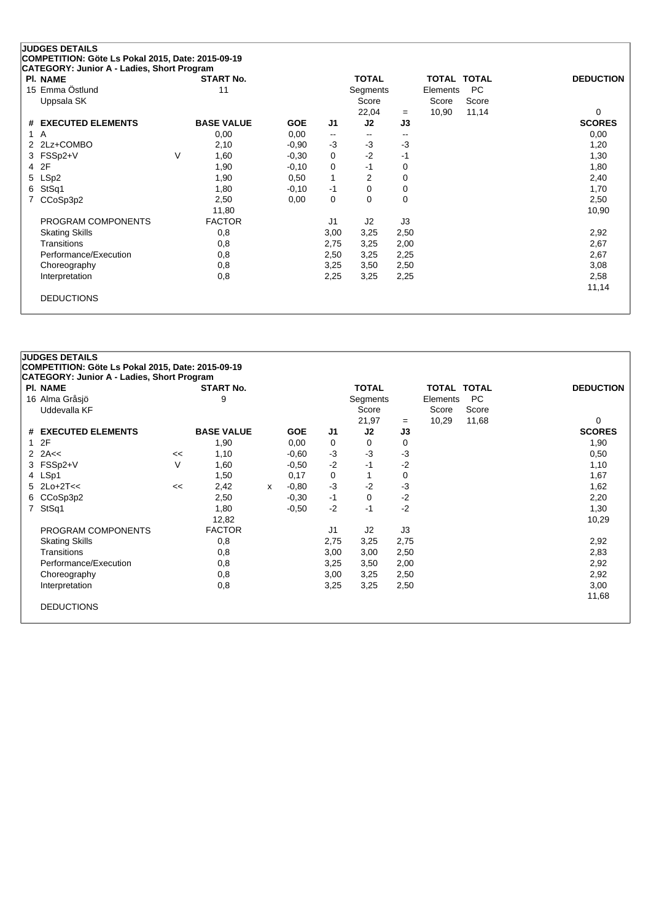### **JUDGES DETAILS COMPETITION: Göte Ls Pokal 2015, Date: 2015-09-19 CATEGORY: Junior A - Ladies, Short Program**

| <b>PI. NAME</b>       |        | <b>START No.</b>  |            |                          | <b>TOTAL</b> |                          | <b>TOTAL</b> | <b>TOTAL</b> | <b>DEDUCTION</b> |
|-----------------------|--------|-------------------|------------|--------------------------|--------------|--------------------------|--------------|--------------|------------------|
| 15 Emma Östlund       |        | 11                |            |                          | Segments     |                          | Elements     | <b>PC</b>    |                  |
| Uppsala SK            |        |                   |            |                          | Score        |                          | Score        | Score        |                  |
|                       |        |                   |            |                          | 22,04        | $=$                      | 10,90        | 11,14        | 0                |
| # EXECUTED ELEMENTS   |        | <b>BASE VALUE</b> | <b>GOE</b> | J1                       | J2           | J3                       |              |              | <b>SCORES</b>    |
| 1 A                   |        | 0,00              | 0,00       | $\overline{\phantom{a}}$ | $\sim$       | $\overline{\phantom{a}}$ |              |              | 0,00             |
| 2 2Lz+COMBO           |        | 2,10              | $-0,90$    | $-3$                     | $-3$         | -3                       |              |              | 1,20             |
| 3 FSSp2+V             | $\vee$ | 1,60              | $-0,30$    | 0                        | $-2$         | -1                       |              |              | 1,30             |
| 4 2F                  |        | 1,90              | $-0,10$    | 0                        | -1           | 0                        |              |              | 1,80             |
| 5 LSp2                |        | 1,90              | 0,50       | 1                        | 2            | 0                        |              |              | 2,40             |
| 6 StSq1               |        | 1,80              | $-0,10$    | -1                       | 0            | 0                        |              |              | 1,70             |
| 7 CCoSp3p2            |        | 2,50              | 0,00       | 0                        | 0            | 0                        |              |              | 2,50             |
|                       |        | 11,80             |            |                          |              |                          |              |              | 10,90            |
| PROGRAM COMPONENTS    |        | <b>FACTOR</b>     |            | J <sub>1</sub>           | J2           | J3                       |              |              |                  |
| <b>Skating Skills</b> |        | 0,8               |            | 3,00                     | 3,25         | 2,50                     |              |              | 2,92             |
| Transitions           |        | 0,8               |            | 2,75                     | 3,25         | 2,00                     |              |              | 2,67             |
| Performance/Execution |        | 0,8               |            | 2,50                     | 3,25         | 2,25                     |              |              | 2,67             |
| Choreography          |        | 0,8               |            | 3,25                     | 3,50         | 2,50                     |              |              | 3,08             |
| Interpretation        |        | 0,8               |            | 2,25                     | 3,25         | 2,25                     |              |              | 2,58             |
|                       |        |                   |            |                          |              |                          |              |              | 11,14            |
| <b>DEDUCTIONS</b>     |        |                   |            |                          |              |                          |              |              |                  |
|                       |        |                   |            |                          |              |                          |              |              |                  |

# **JUDGES DETAILS COMPETITION: Göte Ls Pokal 2015, Date: 2015-09-19 CATEGORY: Junior A - Ladies, Short Program Pl. NAME START No. TOTAL TOTAL TOTAL DEDUCTION** 16 Alma Gråsjö 9 Segments Elements PC Uddevalla KF Score Score Score 21,97 <sup>=</sup> 10,29 11,68 0 **# EXECUTED ELEMENTS BASE VALUE GOE J1 J2 J3 SCORES** 1 2F 1,90 0,00 0 0 0 1,90 2 2A<< << 1,10 -0,60 -3 -3 -3 0,50 3 FSSp2+V V 1,60 -0,50 -2 -1 -2 1,10 4 LSp1 1,50 0,17 0 1 1,67 5 2Lo+2T<< << 2,42 <sup>x</sup> -0,80 -3 -2 -3 1,62 6 CCoSp3p2 2,50 -0,30 -1 0 -2 2,20 7 StSq1 1,80 -0,50 -2 -1 -2 1,30 12,82 10,29 PROGRAM COMPONENTS FACTOR 11 J2 J3 Skating Skills 0,8 2,75 3,25 2,75 2,92 Transitions 0,8 3,00 3,00 2,50 2,83 Performance/Execution 0,8 0,8 3,25 3,50 2,00 2,92 Choreography 0,8 3,00 3,25 2,50 2,92 Interpretation 0,8 3,25 3,25 2,50 3,00 11,68 DEDUCTIONS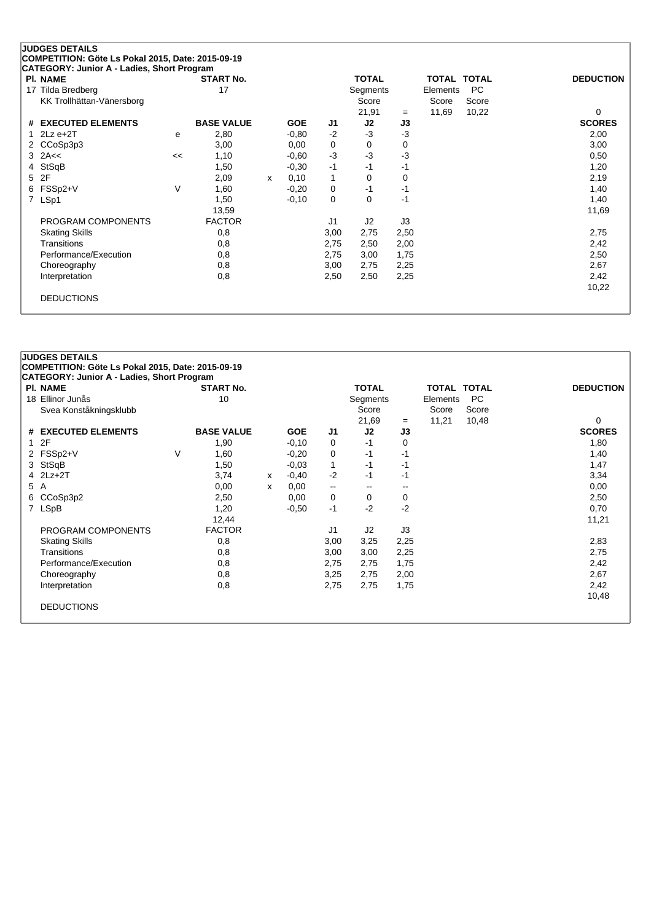| <b>PI. NAME</b>           |    | <b>START No.</b>  |   |            |                | <b>TOTAL</b> |      | TOTAL TOTAL |       | <b>DEDUCTION</b> |
|---------------------------|----|-------------------|---|------------|----------------|--------------|------|-------------|-------|------------------|
| 17 Tilda Bredberg         |    | 17                |   |            |                | Segments     |      | Elements    | PC.   |                  |
| KK Trollhättan-Vänersborg |    |                   |   |            |                | Score        |      | Score       | Score |                  |
|                           |    |                   |   |            |                | 21,91        | $=$  | 11,69       | 10,22 | $\Omega$         |
| # EXECUTED ELEMENTS       |    | <b>BASE VALUE</b> |   | <b>GOE</b> | J1             | J2           | J3   |             |       | <b>SCORES</b>    |
| $2Lz e+2T$<br>1           | e  | 2,80              |   | $-0.80$    | $-2$           | $-3$         | -3   |             |       | 2,00             |
| 2 CCoSp3p3                |    | 3,00              |   | 0,00       | 0              | 0            | 0    |             |       | 3,00             |
| $3$ 2A $\leq$             | << | 1,10              |   | $-0.60$    | $-3$           | $-3$         | $-3$ |             |       | 0,50             |
| StSqB<br>4                |    | 1,50              |   | $-0,30$    | $-1$           | $-1$         | -1   |             |       | 1,20             |
| 2F<br>5                   |    | 2,09              | x | 0,10       | 1              | 0            | 0    |             |       | 2,19             |
| FSSp2+V<br>6.             | V  | 1,60              |   | $-0,20$    | 0              | -1           | $-1$ |             |       | 1,40             |
| LSp1<br>$\overline{7}$    |    | 1,50              |   | $-0,10$    | 0              | 0            | $-1$ |             |       | 1,40             |
|                           |    | 13,59             |   |            |                |              |      |             |       | 11,69            |
| PROGRAM COMPONENTS        |    | <b>FACTOR</b>     |   |            | J <sub>1</sub> | J2           | J3   |             |       |                  |
| <b>Skating Skills</b>     |    | 0,8               |   |            | 3,00           | 2,75         | 2,50 |             |       | 2,75             |
| Transitions               |    | 0,8               |   |            | 2,75           | 2,50         | 2,00 |             |       | 2,42             |
| Performance/Execution     |    | 0,8               |   |            | 2,75           | 3,00         | 1,75 |             |       | 2,50             |
| Choreography              |    | 0,8               |   |            | 3,00           | 2,75         | 2,25 |             |       | 2,67             |
| Interpretation            |    | 0,8               |   |            | 2,50           | 2,50         | 2,25 |             |       | 2,42             |
|                           |    |                   |   |            |                |              |      |             |       | 10,22            |

|   | <b>PI. NAME</b>        |   | <b>START No.</b>  |   |            |                          | <b>TOTAL</b>             |      | <b>TOTAL TOTAL</b> |           | <b>DEDUCTION</b> |
|---|------------------------|---|-------------------|---|------------|--------------------------|--------------------------|------|--------------------|-----------|------------------|
|   | 18 Ellinor Junås       |   | 10                |   |            |                          | Segments                 |      | Elements           | <b>PC</b> |                  |
|   | Svea Konståkningsklubb |   |                   |   |            |                          | Score                    |      | Score              | Score     |                  |
|   |                        |   |                   |   |            |                          | 21,69                    | $=$  | 11,21              | 10,48     | 0                |
|   | # EXECUTED ELEMENTS    |   | <b>BASE VALUE</b> |   | <b>GOE</b> | J <sub>1</sub>           | J2                       | J3   |                    |           | <b>SCORES</b>    |
|   | 12F                    |   | 1,90              |   | $-0,10$    | 0                        | -1                       | 0    |                    |           | 1,80             |
|   | 2 FSSp2+V              | V | 1,60              |   | $-0,20$    | 0                        | $-1$                     | -1   |                    |           | 1,40             |
|   | 3 StSqB                |   | 1,50              |   | $-0.03$    | $\mathbf{1}$             | -1                       | -1   |                    |           | 1,47             |
|   | 4 2Lz+2T               |   | 3,74              | x | $-0,40$    | $-2$                     | -1                       | -1   |                    |           | 3,34             |
|   | 5 A                    |   | 0,00              | x | 0,00       | $\overline{\phantom{a}}$ | $\overline{\phantom{a}}$ |      |                    |           | 0,00             |
| 6 | CCoSp3p2               |   | 2,50              |   | 0,00       | 0                        | 0                        | 0    |                    |           | 2,50             |
|   | 7 LSpB                 |   | 1,20              |   | $-0,50$    | $-1$                     | $-2$                     | $-2$ |                    |           | 0,70             |
|   |                        |   | 12,44             |   |            |                          |                          |      |                    |           | 11,21            |
|   | PROGRAM COMPONENTS     |   | <b>FACTOR</b>     |   |            | J1                       | J <sub>2</sub>           | J3   |                    |           |                  |
|   | <b>Skating Skills</b>  |   | 0,8               |   |            | 3,00                     | 3,25                     | 2,25 |                    |           | 2,83             |
|   | Transitions            |   | 0,8               |   |            | 3,00                     | 3,00                     | 2,25 |                    |           | 2,75             |
|   | Performance/Execution  |   | 0,8               |   |            | 2,75                     | 2,75                     | 1,75 |                    |           | 2,42             |
|   | Choreography           |   | 0,8               |   |            | 3,25                     | 2,75                     | 2,00 |                    |           | 2,67             |
|   | Interpretation         |   | 0,8               |   |            | 2,75                     | 2,75                     | 1,75 |                    |           | 2,42             |
|   |                        |   |                   |   |            |                          |                          |      |                    |           | 10,48            |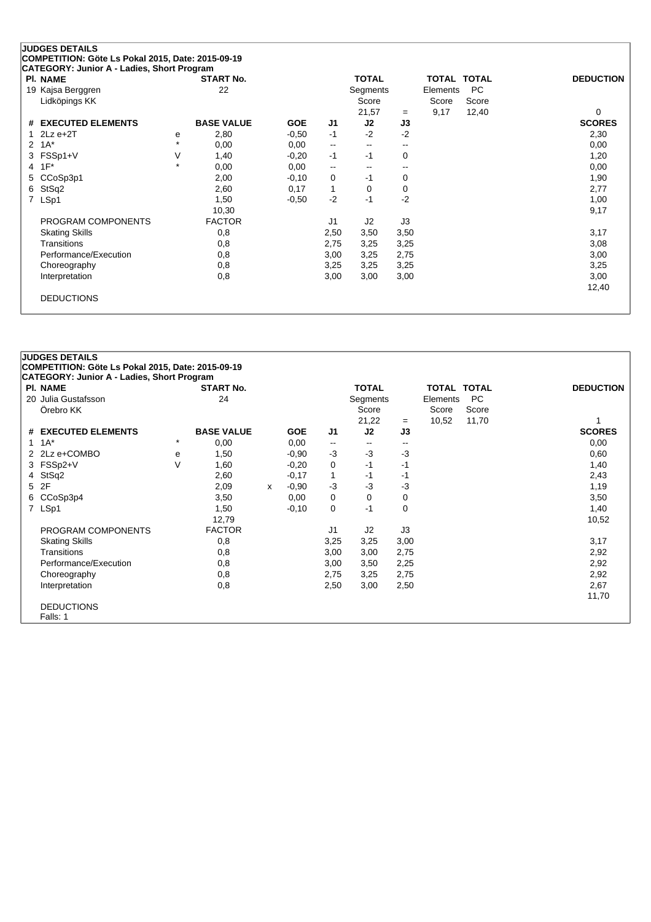| <b>PI. NAME</b>                    |           | <b>START No.</b>  |            |                          | <b>TOTAL</b>             |       | TOTAL TOTAL       |             | <b>DEDUCTION</b> |
|------------------------------------|-----------|-------------------|------------|--------------------------|--------------------------|-------|-------------------|-------------|------------------|
| 19 Kajsa Berggren<br>Lidköpings KK |           | 22                |            |                          | Segments<br>Score        |       | Elements<br>Score | PC<br>Score |                  |
|                                    |           |                   |            |                          | 21,57                    | $=$   | 9,17              | 12,40       | 0                |
| <b>EXECUTED ELEMENTS</b><br>#      |           | <b>BASE VALUE</b> | <b>GOE</b> | J <sub>1</sub>           | J2                       | J3    |                   |             | <b>SCORES</b>    |
| $2Lz e+2T$                         | е         | 2,80              | $-0,50$    | $-1$                     | $-2$                     | $-2$  |                   |             | 2,30             |
| $1A^*$<br>2                        | $\ddot{}$ | 0,00              | 0,00       | $\overline{\phantom{m}}$ | $\overline{\phantom{a}}$ | $- -$ |                   |             | 0,00             |
| FSSp1+V<br>3                       | V         | 1,40              | $-0,20$    | $-1$                     | $-1$                     | 0     |                   |             | 1,20             |
| $1F^*$<br>4                        | $\star$   | 0,00              | 0,00       | --                       | --                       | $- -$ |                   |             | 0,00             |
| CCoSp3p1<br>5.                     |           | 2,00              | $-0,10$    | 0                        | $-1$                     | 0     |                   |             | 1,90             |
| StSq2<br>6                         |           | 2,60              | 0,17       | $\mathbf{1}$             | $\Omega$                 | 0     |                   |             | 2,77             |
| LSp1<br>$\overline{7}$             |           | 1,50              | $-0,50$    | $-2$                     | $-1$                     | $-2$  |                   |             | 1,00             |
|                                    |           | 10,30             |            |                          |                          |       |                   |             | 9,17             |
| PROGRAM COMPONENTS                 |           | <b>FACTOR</b>     |            | J1                       | J2                       | J3    |                   |             |                  |
| <b>Skating Skills</b>              |           | 0,8               |            | 2,50                     | 3,50                     | 3,50  |                   |             | 3,17             |
| Transitions                        |           | 0,8               |            | 2,75                     | 3,25                     | 3,25  |                   |             | 3,08             |
| Performance/Execution              |           | 0,8               |            | 3,00                     | 3,25                     | 2,75  |                   |             | 3,00             |
| Choreography                       |           | 0,8               |            | 3,25                     | 3,25                     | 3,25  |                   |             | 3,25             |
| Interpretation                     |           | 0,8               |            | 3,00                     | 3,00                     | 3,00  |                   |             | 3,00             |
|                                    |           |                   |            |                          |                          |       |                   |             | 12,40            |

### **JUDGES DETAILS COMPETITION: Göte Ls Pokal 2015, Date: 2015-09-19 CATEGORY: Junior A - Ladies, Short Program Pl. NAME START No. TOTAL TOTAL TOTAL DEDUCTION** 20 Julia Gustafsson 24 24 Segments Elements PC<br>
Örebro KK Score Score Score Score Score Örebro KK Score Score Score Score Score Score Score Score Score Score Score Score Score Score Score Score Score 21,22 <sup>=</sup> 10,52 11,70 1 **# EXECUTED ELEMENTS BASE VALUE GOE J1 J2 J3 SCORES**  $1 \t1A^*$   $1 \t1A^*$   $1 \t1A^*$   $1 \t1A^*$   $1 \t1A^*$   $1 \t1A^*$   $1 \t1A^*$   $1 \t1A^*$   $1 \t1A^*$ 2 2Lz e+COMBO <sup>e</sup> 1,50 -0,90 -3 -3 -3 0,60 3 FSSp2+V V 1,60 -0,20 0 -1 -1 1,40 4 StSq2 2,60 -0,17 1 -1 -1 2,43 5 2F 2,09 <sup>x</sup> -0,90 -3 -3 -3 1,19 6 CCoSp3p4 3,50 0,00 0 0 0 3,50 7 LSp1 1,50 -0,10 0 -1 0 1,40 12,79 10,52 PROGRAM COMPONENTS FACTOR 11 J2 J3 Skating Skills 0,8 3,25 3,25 3,00 3,17 Transitions 0,8 3,00 3,00 2,75 2,92 Performance/Execution 0,8 0,8 3,00 3,50 2,25 2,92 Choreography 0,8 2,75 3,25 2,75 2,92 Interpretation 0,8 2,50 3,00 2,50 2,67 11,70 DEDUCTIONS Falls: 1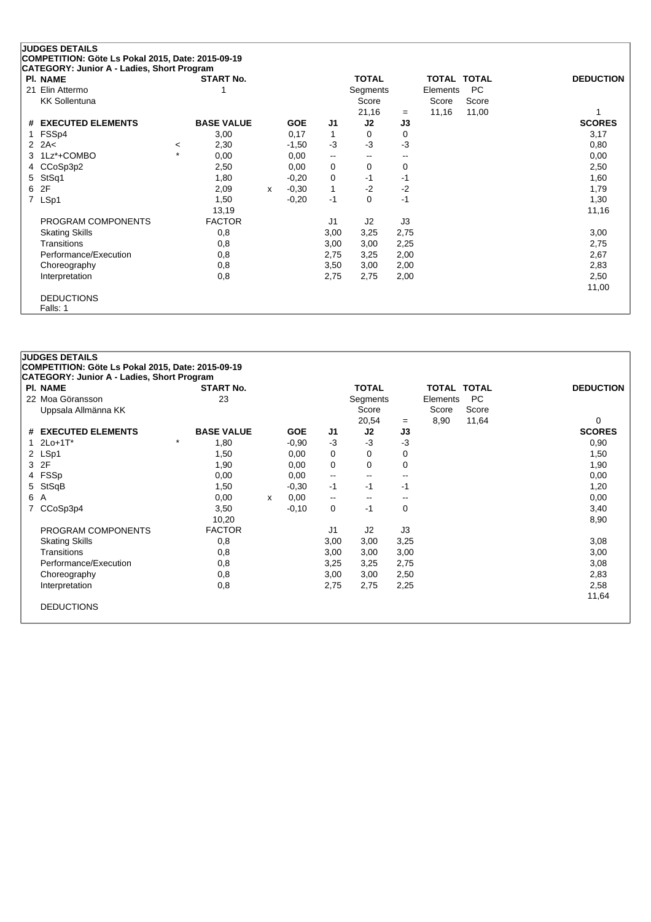|                | <b>JUDGES DETAILS</b>                             |         |                   |   |            |                          |              |             |                    |       |                  |
|----------------|---------------------------------------------------|---------|-------------------|---|------------|--------------------------|--------------|-------------|--------------------|-------|------------------|
|                | COMPETITION: Göte Ls Pokal 2015, Date: 2015-09-19 |         |                   |   |            |                          |              |             |                    |       |                  |
|                | CATEGORY: Junior A - Ladies, Short Program        |         |                   |   |            |                          |              |             |                    |       |                  |
|                | <b>PI. NAME</b>                                   |         | <b>START No.</b>  |   |            |                          | <b>TOTAL</b> |             | <b>TOTAL TOTAL</b> |       | <b>DEDUCTION</b> |
|                | 21 Elin Attermo                                   |         |                   |   |            |                          | Segments     |             | Elements           | PC    |                  |
|                | <b>KK Sollentuna</b>                              |         |                   |   |            |                          | Score        |             | Score              | Score |                  |
|                |                                                   |         |                   |   |            |                          | 21,16        | $=$         | 11,16              | 11,00 |                  |
| #              | <b>EXECUTED ELEMENTS</b>                          |         | <b>BASE VALUE</b> |   | <b>GOE</b> | J <sub>1</sub>           | J2           | J3          |                    |       | <b>SCORES</b>    |
| 1.             | FSSp4                                             |         | 3,00              |   | 0,17       | 1                        | $\Omega$     | 0           |                    |       | 3,17             |
|                | $2$ $2A<$                                         | $\,<\,$ | 2,30              |   | $-1,50$    | $-3$                     | $-3$         | $-3$        |                    |       | 0,80             |
| 3              | 1Lz*+COMBO                                        | $\star$ | 0,00              |   | 0,00       | $\overline{\phantom{a}}$ | --           | --          |                    |       | 0,00             |
| 4              | CCoSp3p2                                          |         | 2,50              |   | 0,00       | 0                        | 0            | $\mathbf 0$ |                    |       | 2,50             |
| 5              | StSq1                                             |         | 1,80              |   | $-0,20$    | 0                        | $-1$         | $-1$        |                    |       | 1,60             |
| 6              | 2F                                                |         | 2,09              | X | $-0,30$    | $\mathbf{1}$             | $-2$         | $-2$        |                    |       | 1,79             |
| $\overline{7}$ | LSp1                                              |         | 1,50              |   | $-0,20$    | $-1$                     | 0            | $-1$        |                    |       | 1,30             |
|                |                                                   |         | 13,19             |   |            |                          |              |             |                    |       | 11,16            |
|                | PROGRAM COMPONENTS                                |         | <b>FACTOR</b>     |   |            | J <sub>1</sub>           | J2           | J3          |                    |       |                  |
|                | <b>Skating Skills</b>                             |         | 0,8               |   |            | 3,00                     | 3,25         | 2,75        |                    |       | 3,00             |
|                | Transitions                                       |         | 0,8               |   |            | 3,00                     | 3,00         | 2,25        |                    |       | 2,75             |
|                | Performance/Execution                             |         | 0,8               |   |            | 2,75                     | 3,25         | 2,00        |                    |       | 2,67             |
|                | Choreography                                      |         | 0,8               |   |            | 3,50                     | 3,00         | 2,00        |                    |       | 2,83             |
|                | Interpretation                                    |         | 0,8               |   |            | 2,75                     | 2,75         | 2,00        |                    |       | 2,50             |
|                |                                                   |         |                   |   |            |                          |              |             |                    |       | 11,00            |
|                | <b>DEDUCTIONS</b>                                 |         |                   |   |            |                          |              |             |                    |       |                  |
|                | Falls: 1                                          |         |                   |   |            |                          |              |             |                    |       |                  |

## **JUDGES DETAILS COMPETITION: Göte Ls Pokal 2015, Date: 2015-09-19 CATEGORY: Junior A - Ladies, Short Program Pl. NAME START No. TOTAL TOTAL TOTAL DEDUCTION** 22 Moa Göransson 23 Segments Elements PC Uppsala Allmänna KK Score Score Score Score Score Score Score Score Score Score Score Score Score Score Score Score Score Score Score Score Score Score Score Score Score Score Score Score Score Score Score Score Score Scor 20,54 = 8,90 11,64 0<br> **J2 J3** SCORES **# EXECUTED ELEMENTS BASE VALUE GOE J1 J2 J3 SCORES** 1 2Lo+1T\* \* 1,80 -0,90 -3 -3 -3 0,90 2 LSp1 1,50 0,00 0 0 0 1,50  $3$  2F  $3$  2F  $1,90$   $0,00$   $0$   $0$   $0$   $0$   $1,90$ 4 FSSp 0,00 0,00 -- -- -- 0,00 5 StSqB 1,50 -0,30 -1 -1 -1 1,20 6 A 0,00 <sup>x</sup> 0,00 -- -- -- 0,00 7 CCoSp3p4 3,50 -0,10 0 -1 0 3,40 10,20 8,90 PROGRAM COMPONENTS FACTOR J1 J2 J3 Skating Skills 0,8 3,00 3,00 3,25 3,08 Transitions 0,8 3,00 3,00 3,00 3,00 Performance/Execution 0,8 0,8 3,25 3,25 2,75 3,08 Choreography 0,8 3,00 3,00 2,50 2,83 Interpretation 0,8 2,75 2,75 2,25 2,58 11,64 DEDUCTIONS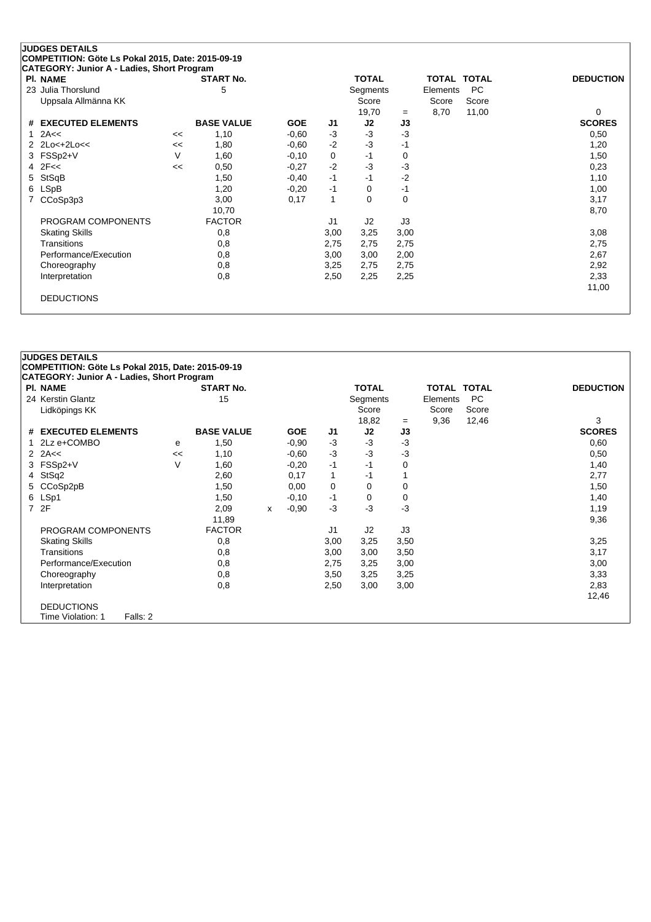| PI. NAME              |    | <b>START No.</b>  |            |      | <b>TOTAL</b>   |          | TOTAL    | <b>TOTAL</b> | <b>DEDUCTION</b> |
|-----------------------|----|-------------------|------------|------|----------------|----------|----------|--------------|------------------|
| 23 Julia Thorslund    |    | 5                 |            |      | Segments       |          | Elements | <b>PC</b>    |                  |
| Uppsala Allmänna KK   |    |                   |            |      | Score          |          | Score    | Score        |                  |
|                       |    |                   |            |      | 19,70          | $=$      | 8,70     | 11,00        | 0                |
| # EXECUTED ELEMENTS   |    | <b>BASE VALUE</b> | <b>GOE</b> | J1   | J2             | J3       |          |              | <b>SCORES</b>    |
| 2A<<                  | << | 1,10              | $-0.60$    | $-3$ | $-3$           | $-3$     |          |              | 0,50             |
| 2 2Lo<+2Lo<<          | << | 1,80              | $-0.60$    | $-2$ | $-3$           | -1       |          |              | 1,20             |
| 3 FSSp2+V             | V  | 1,60              | $-0,10$    | 0    | $-1$           | $\Omega$ |          |              | 1,50             |
| $4$ $2F <$            | << | 0,50              | $-0,27$    | $-2$ | $-3$           | -3       |          |              | 0,23             |
| StSqB<br>5.           |    | 1,50              | $-0,40$    | $-1$ | $-1$           | $-2$     |          |              | 1,10             |
| <b>LSpB</b><br>6.     |    | 1,20              | $-0,20$    | $-1$ | 0              | $-1$     |          |              | 1,00             |
| CCoSp3p3              |    | 3,00              | 0,17       | 1    | 0              | $\Omega$ |          |              | 3,17             |
|                       |    | 10,70             |            |      |                |          |          |              | 8,70             |
| PROGRAM COMPONENTS    |    | <b>FACTOR</b>     |            | J1   | J <sub>2</sub> | J3       |          |              |                  |
| <b>Skating Skills</b> |    | 0,8               |            | 3,00 | 3,25           | 3,00     |          |              | 3,08             |
| <b>Transitions</b>    |    | 0,8               |            | 2,75 | 2,75           | 2,75     |          |              | 2,75             |
| Performance/Execution |    | 0,8               |            | 3,00 | 3,00           | 2,00     |          |              | 2,67             |
| Choreography          |    | 0,8               |            | 3,25 | 2,75           | 2,75     |          |              | 2,92             |
| Interpretation        |    | 0,8               |            | 2,50 | 2,25           | 2,25     |          |              | 2,33             |
|                       |    |                   |            |      |                |          |          |              | 11,00            |

### **JUDGES DETAILS COMPETITION: Göte Ls Pokal 2015, Date: 2015-09-19 CATEGORY: Junior A - Ladies, Short Program Pl. NAME START No. TOTAL TOTAL TOTAL DEDUCTION** 24 Kerstin Glantz 15 Segments Elements PC Lidköpings KK Score Score Score Score Score Score Score Score Score Score Score Score Score Score Score Score Score Score Score Score Score Score Score Score Score Score Score Score Score Score Score Score Score Score Scor 18,82 = 9,36 12,46 3 **# EXECUTED ELEMENTS BASE VALUE GOE J1 J2 J3 SCORES** 1 2Lz e+COMBO <sup>e</sup> 1,50 -0,90 -3 -3 -3 0,60 2 2A<< << 1,10 -0,60 -3 -3 -3 0,50 3 FSSp2+V V 1,60 -0,20 -1 -1 0 1,40 4 StSq2 2,60 0,17 1 -1 1 2,77 5 CCoSp2pB 1,50 0,00 0 0 0 0 1,50 6 LSp1 1,50 -0,10 -1 0 0 1,40 7 2F 2,09 <sup>x</sup> -0,90 -3 -3 -3 1,19 11,89 9,36 PROGRAM COMPONENTS FACTOR 11 J2 J3 Skating Skills 0,8 3,00 3,25 3,50 3,25 Transitions 0,8 3,00 3,00 3,50 3,17 Performance/Execution 0,8 0,8 2,75 3,25 3,00 3,00 Choreography 0,8 3,50 3,25 3,25 3,33 Interpretation 0,8 2,50 3,00 3,00 2,83 12,46 DEDUCTIONS Time Violation: 1 Falls: 2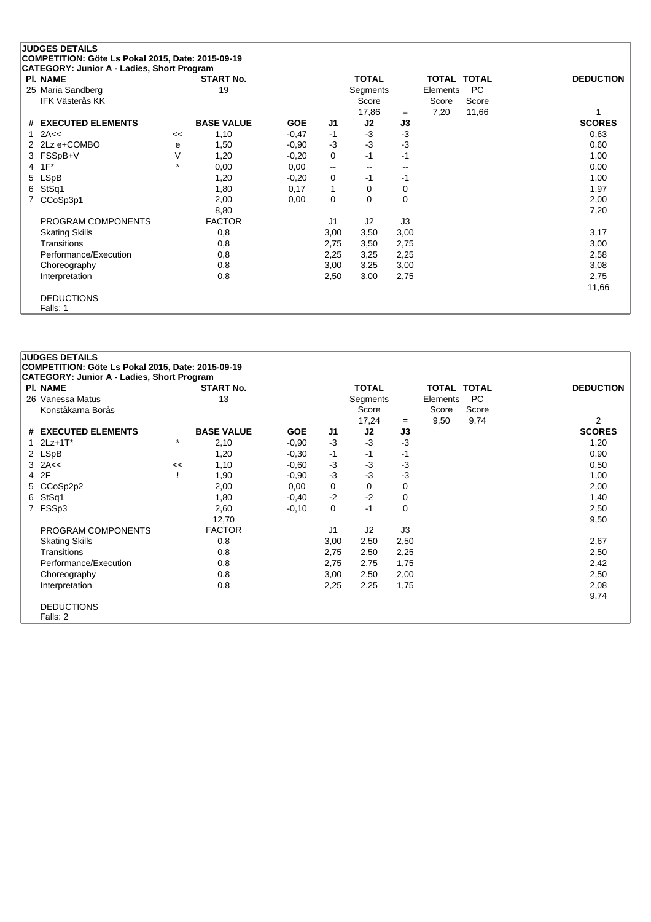|    | <b>JUDGES DETAILS</b><br>COMPETITION: Göte Ls Pokal 2015, Date: 2015-09-19 |         |                   |            |      |              |      |          |             |                  |
|----|----------------------------------------------------------------------------|---------|-------------------|------------|------|--------------|------|----------|-------------|------------------|
|    | CATEGORY: Junior A - Ladies, Short Program                                 |         |                   |            |      |              |      |          |             |                  |
|    | PI. NAME                                                                   |         | <b>START No.</b>  |            |      | <b>TOTAL</b> |      |          | TOTAL TOTAL | <b>DEDUCTION</b> |
|    | 25 Maria Sandberg                                                          |         | 19                |            |      | Segments     |      | Elements | PC.         |                  |
|    | IFK Västerås KK                                                            |         |                   |            |      | Score        |      | Score    | Score       |                  |
|    |                                                                            |         |                   |            |      | 17,86        | $=$  | 7,20     | 11,66       |                  |
|    | # EXECUTED ELEMENTS                                                        |         | <b>BASE VALUE</b> | <b>GOE</b> | J1   | J2           | J3   |          |             | <b>SCORES</b>    |
| 1. | 2A<<                                                                       | <<      | 1,10              | $-0,47$    | $-1$ | $-3$         | $-3$ |          |             | 0,63             |
|    | 2 2Lz e+COMBO                                                              | е       | 1,50              | $-0.90$    | $-3$ | $-3$         | $-3$ |          |             | 0,60             |
|    | 3 FSSpB+V                                                                  | V       | 1,20              | $-0,20$    | 0    | -1           | $-1$ |          |             | 1,00             |
| 4  | $1F^*$                                                                     | $\star$ | 0,00              | 0,00       | --   | $-$          | $-$  |          |             | 0,00             |
|    | 5 LSpB                                                                     |         | 1,20              | $-0,20$    | 0    | $-1$         | -1   |          |             | 1,00             |
| 6. | StSq1                                                                      |         | 1,80              | 0,17       | 1    | 0            | 0    |          |             | 1,97             |
|    | CCoSp3p1                                                                   |         | 2,00              | 0,00       | 0    | 0            | 0    |          |             | 2,00             |
|    |                                                                            |         | 8,80              |            |      |              |      |          |             | 7,20             |
|    | PROGRAM COMPONENTS                                                         |         | <b>FACTOR</b>     |            | J1   | J2           | J3   |          |             |                  |
|    | <b>Skating Skills</b>                                                      |         | 0,8               |            | 3,00 | 3,50         | 3,00 |          |             | 3,17             |
|    | Transitions                                                                |         | 0,8               |            | 2,75 | 3,50         | 2,75 |          |             | 3,00             |
|    | Performance/Execution                                                      |         | 0,8               |            | 2,25 | 3,25         | 2,25 |          |             | 2,58             |
|    | Choreography                                                               |         | 0,8               |            | 3,00 | 3,25         | 3,00 |          |             | 3,08             |
|    | Interpretation                                                             |         | 0,8               |            | 2,50 | 3,00         | 2,75 |          |             | 2,75             |
|    |                                                                            |         |                   |            |      |              |      |          |             | 11,66            |
|    | <b>DEDUCTIONS</b>                                                          |         |                   |            |      |              |      |          |             |                  |
|    | Falls: 1                                                                   |         |                   |            |      |              |      |          |             |                  |

### **JUDGES DETAILS COMPETITION: Göte Ls Pokal 2015, Date: 2015-09-19 CATEGORY: Junior A - Ladies, Short Program Pl. NAME START No. TOTAL TOTAL TOTAL DEDUCTION** 26 Vanessa Matus 13 Segments Elements PC Konståkarna Borås Score Score Score Score Score Score Score Score Score Score Score Score Score Score Score Score Score Score Score Score Score Score Score Score Score Score Score Score Score Score Score Score Score Score 17,24 <sup>=</sup> 9,50 9,74 2 **# EXECUTED ELEMENTS BASE VALUE GOE J1 J2 J3 SCORES**  $1 \t2Lz + 1T^*$   $1,20$   $1,20$   $-0,90$   $-3$   $-3$   $-3$   $-3$   $-1,20$ 2 LSpB 1,20 -0,30 -1 -1 -1 0,90  $3$  2A<<  $2$  3  $2$ A<<  $1,10$   $-0,60$   $-3$   $-3$   $-3$ 4 2F ! 1,90 -0,90 -3 -3 -3 1,00 5 CCoSp2p2 2,00 0,00 0 0 0 2,00 6 StSq1 1,80 -0,40 -2 -2 0 1,40 7 FSSp3 2,60 -0,10 0 -1 0 2,50 12,70 9,50 PROGRAM COMPONENTS FACTOR FACTOR J1 J2 J3 Skating Skills 0,8 3,00 2,50 2,50 2,67 Transitions 0,8 2,75 2,50 2,25 2,50 Performance/Execution 0,8 0,8 2,75 2,75 1,75 2,42 Choreography 0,8 3,00 2,50 2,00 2,50 Interpretation 0,8 2,25 2,25 1,75 2,08 9,74 DEDUCTIONS Falls: 2